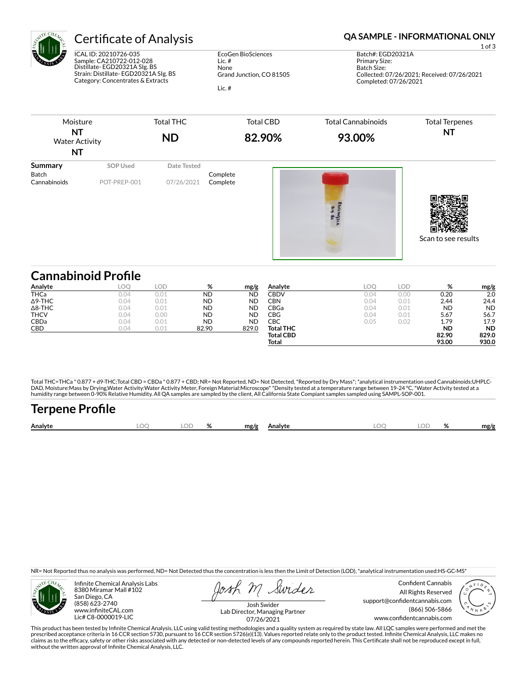

ICAL ID: 20210726-035 Sample: CA210722-012-028 Distillate- EGD20321A SIg. BS Strain: Distillate- EGD20321A SIg. BS Category: Concentrates & Extracts

EcoGen BioSciences Lic. # None Grand Junction, CO 81505 Lic. #

## Certificate of Analysis **Certificate of Analysis QA SAMPLE - INFORMATIONAL ONLY**

1 of 3 Batch#: EGD20321A Primary Size: Batch Size: Collected: 07/26/2021; Received: 07/26/2021 Completed: 07/26/2021



|                | samasinois i ome |      |           |           |                  |      |      |           |           |
|----------------|------------------|------|-----------|-----------|------------------|------|------|-----------|-----------|
| Analyte        | <b>LOO</b>       | .OD  | %         | mg/g      | Analyte          | LOC  | LOD  | %         | mg/g      |
| <b>THCa</b>    | 0.04             | 0.01 | <b>ND</b> | <b>ND</b> | CBDV             | 0.04 | 0.00 | 0.20      | 2.0       |
| $\Delta$ 9-THC | 0.04             | 0.01 | <b>ND</b> | <b>ND</b> | CBN              | 0.04 | 0.01 | 2.44      | 24.4      |
| $\Delta$ 8-THC | 0.04             | 0.01 | <b>ND</b> | <b>ND</b> | CBGa             | 0.04 | 0.01 | <b>ND</b> | <b>ND</b> |
| <b>THCV</b>    | 0.04             | 0.00 | <b>ND</b> | <b>ND</b> | CBG              | 0.04 | 0.01 | 5.67      | 56.7      |
| <b>CBDa</b>    | 0.04             | 0.01 | <b>ND</b> | <b>ND</b> | СВС              | 0.05 | 0.02 | 1.79      | 17.9      |
| CBD            | 0.04             | 0.01 | 82.90     | 829.0     | <b>Total THC</b> |      |      | <b>ND</b> | <b>ND</b> |
|                |                  |      |           |           | <b>Total CBD</b> |      |      | 82.90     | 829.0     |
|                |                  |      |           |           | Total            |      |      | 93.00     | 930.0     |

Total THC=THCa \* 0.877 + d9-THC;Total CBD = CBDa \* 0.877 + CBD; NR= Not Reported, ND= Not Detected, \*Reported by Dry Mass\*; \*analytical instrumentation used Cannabinoids:UHPLC-DAD, Moisture:Mass by Drying,Water Activity:Water Activity Meter, Foreign Material:Microscope\* \*Density tested at a temperature range between 19-24 °C, \*Water Activity tested at a<br>humidity range between 0-90% Relative Humi

# **Terpene Profile Analyte LOQ LOD % mg/g Analyte LOQ LOD % mg/g**

NR= Not Reported thus no analysis was performed, ND= Not Detected thus the concentration is less then the Limit of Detection (LOD), \*analytical instrumentation used:HS-GC-MS\*



Infinite Chemical Analysis Labs 8380 Miramar Mall #102 San Diego, CA (858) 623-2740 www.infiniteCAL.com Lic# C8-0000019-LIC

Swider

Confident Cannabis All Rights Reserved support@confidentcannabis.com (866) 506-5866 www.confidentcannabis.com



Josh Swider Lab Director, Managing Partner 07/26/2021

This product has been tested by Infinite Chemical Analysis, LLC using valid testing methodologies and a quality system as required by state law. All LQC samples were performed and met the prescribed acceptance criteria in 16 CCR section 5730, pursuant to 16 CCR section 5726(e)(13). Values reported relate only to the product tested. Infinite Chemical Analysis, LLC makes no<br>claims as to the efficacy, safety o without the written approval of Infinite Chemical Analysis, LLC.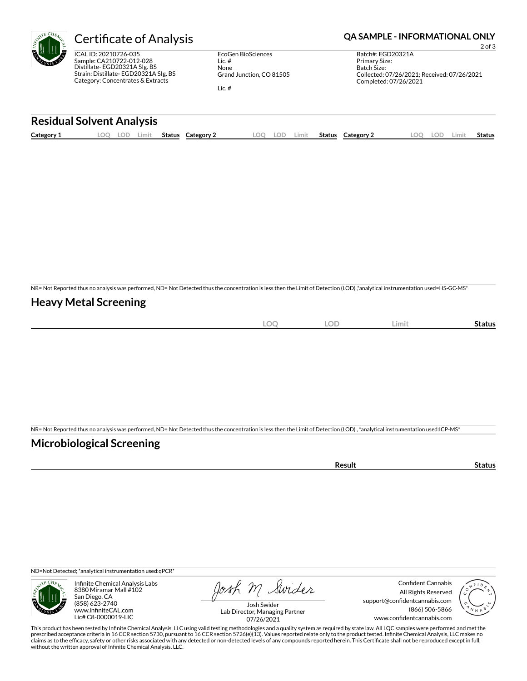

ICAL ID: 20210726-035 Sample: CA210722-012-028 Distillate- EGD20321A SIg. BS Strain: Distillate- EGD20321A SIg. BS Category: Concentrates & Extracts

EcoGen BioSciences Lic. # None Grand Junction, CO 81505 Lic. #

### Certificate of Analysis **Certificate of Analysis QA SAMPLE - INFORMATIONAL ONLY**

2 of 3 Batch#: EGD20321A Primary Size: Batch Size: Collected: 07/26/2021; Received: 07/26/2021 Completed: 07/26/2021

#### **Residual Solvent Analysis**

| Category 1 | LOC | $\cap$<br>LUL' | Limit | Status | Category 2 | LOO | lod | Limit | <b>Status</b> | Category 2 | .00 | LOD | Limit | Status |
|------------|-----|----------------|-------|--------|------------|-----|-----|-------|---------------|------------|-----|-----|-------|--------|
|            |     |                |       |        |            |     |     |       |               |            |     |     |       |        |

NR= Not Reported thus no analysis was performed, ND= Not Detected thus the concentration is less then the Limit of Detection (LOD) ,\*analytical instrumentation used=HS-GC-MS\*

### **Heavy Metal Screening**

| $\widehat{\phantom{m}}$<br>$-$<br>$\sim$ | $\cap$<br>- 10<br>$\sim$ | Limit | status |
|------------------------------------------|--------------------------|-------|--------|
|                                          |                          |       |        |

NR= Not Reported thus no analysis was performed, ND= Not Detected thus the concentration is less then the Limit of Detection (LOD) , \*analytical instrumentation used:ICP-MS\*

### **Microbiological Screening**

| รนเเ | ., |
|------|----|
|      |    |

ND=Not Detected; \*analytical instrumentation used:qPCR\*



Infinite Chemical Analysis Labs 8380 Miramar Mall #102 San Diego, CA (858) 623-2740 www.infiniteCAL.com Lic# C8-0000019-LIC

Josh M Swider

Confident Cannabis All Rights Reserved support@confidentcannabis.com (866) 506-5866 www.confidentcannabis.com



Josh Swider Lab Director, Managing Partner 07/26/2021

This product has been tested by Infinite Chemical Analysis, LLC using valid testing methodologies and a quality system as required by state law. All LQC samples were performed and met the prescribed acceptance criteria in 16 CCR section 5730, pursuant to 16 CCR section 5726(e)(13). Values reported relate only to the product tested. Infinite Chemical Analysis, LLC makes no<br>claims as to the efficacy, safety o without the written approval of Infinite Chemical Analysis, LLC.